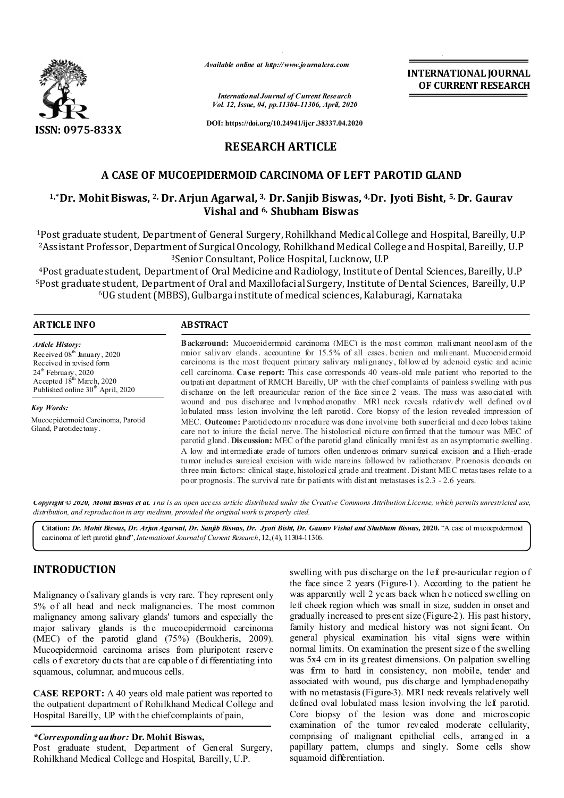

*Available online at http://www.journalcra.com*

*International Journal of Current Research Vol. 12, Issue, 04, pp.11304-11306, April, 2020* **INTERNATIONAL JOURNAL OF CURRENT RESEARCH**

**DOI: https://doi.org/10.24941/ijcr.38337.04.2020**

## **RESEARCH ARTICLE**

# **A CASE OF MUCOEPIDERMOID CARCINOMA OF LEFT PAROTID GLAND**

## **1,\*Dr. Mohit Biswas, 2, Dr. Arjun Agarwal, 3, Dr. Sanjib Biswas, 4,Dr. Jyoti Bisht, 5, Dr. Gaurav Vishal and 6, Shubham Biswas**

1Post graduate student, Department of General Surgery, Rohilkhand Medical College and Hospital, Bareilly, U.P 2Assistant Professor, Department of Surgical Oncology, Rohilkhand Medical College and Hospital, Bareilly, U.P 3Senior Consultant, Police Hospital, Lucknow, U.P

4Post graduate student, Department of Oral Medicine and Radiology, Institute of Dental Sciences, Bareilly, U.P 5Post graduate student, Department of Oral and Maxillofacial Surgery, Institute of Dental Sciences, Bareilly, U.P 6UG student (MBBS), Gulbarga institute of medical sciences, Kalaburagi, Karnataka

| <b>ARTICLE INFO</b>                                                                                                                                                                                     | <b>ABSTRACT</b>                                                                                                                                                                                                                                                                                                                                                                                                                                                                                                                                                                                                                                                                                                                               |
|---------------------------------------------------------------------------------------------------------------------------------------------------------------------------------------------------------|-----------------------------------------------------------------------------------------------------------------------------------------------------------------------------------------------------------------------------------------------------------------------------------------------------------------------------------------------------------------------------------------------------------------------------------------------------------------------------------------------------------------------------------------------------------------------------------------------------------------------------------------------------------------------------------------------------------------------------------------------|
| <b>Article History:</b><br>Received $08th$ January, 2020<br>Received in revised form<br>$24th$ February, 2020<br>Accepted 18 <sup>th</sup> March, 2020<br>Published online 30 <sup>th</sup> April, 2020 | <b>Background:</b> Mucoepidermoid carginoma (MEC) is the most common malignant neoplasm of the<br>major salivary glands, accounting for 15.5% of all cases, benign and malignant. Mucoepidermoid<br>carcinoma is the most frequent primary salivary malignancy, followed by adenoid cystic and acinic<br>cell carcinoma. Case report: This case corresponds 40 years-old male patient who reported to the<br>outpatient department of RMCH Bareilly, UP with the chief complaints of painless swelling with pus<br>discharge on the left preauricular region of the face since 2 years. The mass was associated with                                                                                                                          |
| Key Words:                                                                                                                                                                                              | wound and pus discharge and lymphodenopathy. MRI neck reveals relatively well defined oval<br>lobulated mass lesion involving the left parotid. Core biopsy of the lesion revealed impression of                                                                                                                                                                                                                                                                                                                                                                                                                                                                                                                                              |
| Mucoepidermoid Carcinoma, Parotid<br>Gland, Parotidectomy.                                                                                                                                              | MEC. <b>Outcome:</b> Parotidectomy procedure was done involving both superficial and deep lobes taking<br>care not to injure the facial nerve. The histological picture confirmed that the tumour was MEC of<br>parotid gland. Discussion: MEC of the parotid gland clinically manifest as an asymptomatic swelling.<br>A low and intermediate grade of tumors often undergoes primary surgical excision and a High-grade<br>tumor includes surgical excision with wide margins followed by radiotherany. Prognosis depends on<br>three main factors: clinical stage, histological grade and treatment. Distant MEC metastases relate to a<br>po or prognosis. The survival rate for patients with distant metastases is $2.3$ - $2.6$ years. |

Copyright © 2020, Mohit Biswas et al. This is an open access article distributed under the Creative Commons Attribution License, which permits unrestricted use, *distribution, and reproduction in any medium, provided the original work is properly cited.*

**Citation:** *Dr. Mohit Biswas, Dr. Arjun Agarwal, Dr. Sanjib Biswas, Dr. Jyoti Bisht, Dr. Gaurav Vishal and Shubham Biswas,* **2020.** "A case of mucoepidermoid carcinoma of left parotid gland",*International Journalof Current Research*,12,(4), 11304-11306.

# **INTRODUCTION**

Malignancy o f salivary glands is very rare. They represent only 5% of all head and neck malignancies. The most common malignancy among salivary glands' tumors and especially the major salivary glands is the mucoepidermoid carcinoma (MEC) of the parotid gland (75%) (Boukheris, 2009). Mucoepidermoid carcinoma arises from pluripotent reserve cells o f excretory du cts that are capable o f di fferentiating into squamous, columnar, and mucous cells.

**CASE REPORT:** A 40 years old male patient was reported to the outpatient department of Rohilkhand Medical College and Hospital Bareilly, UP with the chief complaints of pain,

*\*Corresponding author:* **Dr. Mohit Biswas,**

Post graduate student, Department of General Surgery, Rohilkhand Medical College and Hospital, Bareilly, U.P.

swelling with pus discharge on the left pre-auricular region of the face since 2 years (Figure-1). According to the patient he was apparently well 2 years back when h e noticed swelling on left cheek region which was small in size, sudden in onset and gradually increased to present size (Figure-2). His past history, family history and medical history was not signi ficant. On general physical examination his vital signs were within normal limits. On examination the present size o f the swelling was 5x4 cm in its g reatest dimensions. On palpation swelling was firm to hard in consistency, non mobile, tender and associated with wound, pus dis charge and lymphadenopathy with no metastasis (Figure-3). MRI neck reveals relatively well defined oval lobulated mass lesion involving the left parotid. Core biopsy of the lesion was done and microscopic examination of the tumor revealed moderate cellularity, comprising of malignant epithelial cells, arranged in a papillary pattern, clumps and singly. Some cells show squamoid differentiation.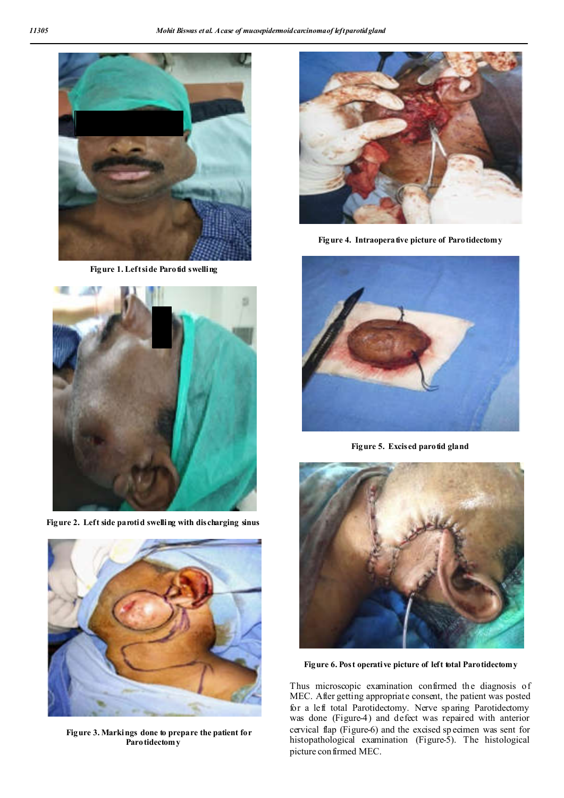

**Figure 1. Left side Parotid swelling**



**Figure 2. Left side parotid swelling with discharging sinus**



 **Figure 3. Markings done to prepare the patient for Parotidectomy** 



Figure 4. Intraoperative picture of Parotidectomy



**Figure 5. Excised parotid gland**



**Figure 6. Post operative picture of left total Parotidectomy**

Thus microscopic examination confirmed the diagnosis of MEC. After getting appropriate consent, the patient was posted for a left total Parotidectomy. Nerve sparing Parotidectomy was done (Figure-4) and defect was repaired with anterior cervical flap (Figure-6) and the excised sp ecimen was sent for histopathological examination (Figure-5). The histological picture confirmed MEC.